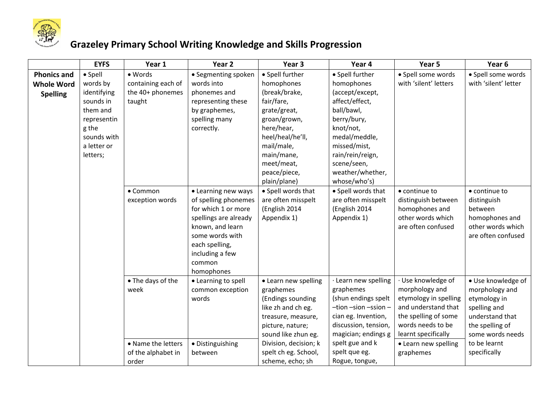

## **Grazeley Primary School Writing Knowledge and Skills Progression**

|                                                            | <b>EYFS</b>                                                                                                                           | Year 1                                                                         | Year <sub>2</sub>                                                                                                                                                                               | Year <sub>3</sub>                                                                                                                                                                                                  | Year 4                                                                                                                                                                                                         | Year 5                                                                                                                                                                                        | Year <sub>6</sub>                                                                                                                                              |
|------------------------------------------------------------|---------------------------------------------------------------------------------------------------------------------------------------|--------------------------------------------------------------------------------|-------------------------------------------------------------------------------------------------------------------------------------------------------------------------------------------------|--------------------------------------------------------------------------------------------------------------------------------------------------------------------------------------------------------------------|----------------------------------------------------------------------------------------------------------------------------------------------------------------------------------------------------------------|-----------------------------------------------------------------------------------------------------------------------------------------------------------------------------------------------|----------------------------------------------------------------------------------------------------------------------------------------------------------------|
| <b>Phonics and</b><br><b>Whole Word</b><br><b>Spelling</b> | $\bullet$ Spell<br>words by<br>identifying<br>sounds in<br>them and<br>representin<br>g the<br>sounds with<br>a letter or<br>letters; | • Words<br>containing each of<br>the 40+ phonemes<br>taught                    | • Segmenting spoken<br>words into<br>phonemes and<br>representing these<br>by graphemes,<br>spelling many<br>correctly.                                                                         | · Spell further<br>homophones<br>(break/brake,<br>fair/fare,<br>grate/great,<br>groan/grown,<br>here/hear,<br>heel/heal/he'll,<br>mail/male,<br>main/mane,<br>meet/meat,                                           | • Spell further<br>homophones<br>(accept/except,<br>affect/effect,<br>ball/bawl,<br>berry/bury,<br>knot/not,<br>medal/meddle,<br>missed/mist,<br>rain/rein/reign,<br>scene/seen,                               | · Spell some words<br>with 'silent' letters                                                                                                                                                   | · Spell some words<br>with 'silent' letter                                                                                                                     |
|                                                            |                                                                                                                                       | • Common<br>exception words                                                    | • Learning new ways<br>of spelling phonemes<br>for which 1 or more<br>spellings are already<br>known, and learn<br>some words with<br>each spelling,<br>including a few<br>common<br>homophones | peace/piece,<br>plain/plane)<br>• Spell words that<br>are often misspelt<br>(English 2014<br>Appendix 1)                                                                                                           | weather/whether,<br>whose/who's)<br>• Spell words that<br>are often misspelt<br>(English 2014<br>Appendix 1)                                                                                                   | • continue to<br>distinguish between<br>homophones and<br>other words which<br>are often confused                                                                                             | • continue to<br>distinguish<br>between<br>homophones and<br>other words which<br>are often confused                                                           |
|                                                            |                                                                                                                                       | • The days of the<br>week<br>• Name the letters<br>of the alphabet in<br>order | • Learning to spell<br>common exception<br>words<br>• Distinguishing<br>between                                                                                                                 | • Learn new spelling<br>graphemes<br>(Endings sounding<br>like zh and ch eg.<br>treasure, measure,<br>picture, nature;<br>sound like zhun eg.<br>Division, decision; k<br>spelt ch eg. School,<br>scheme, echo; sh | · Learn new spelling<br>graphemes<br>(shun endings spelt<br>$-tion$ -sion -ssion -<br>cian eg. Invention,<br>discussion, tension,<br>magician; endings g<br>spelt gue and k<br>spelt que eg.<br>Rogue, tongue, | · Use knowledge of<br>morphology and<br>etymology in spelling<br>and understand that<br>the spelling of some<br>words needs to be<br>learnt specifically<br>• Learn new spelling<br>graphemes | · Use knowledge of<br>morphology and<br>etymology in<br>spelling and<br>understand that<br>the spelling of<br>some words needs<br>to be learnt<br>specifically |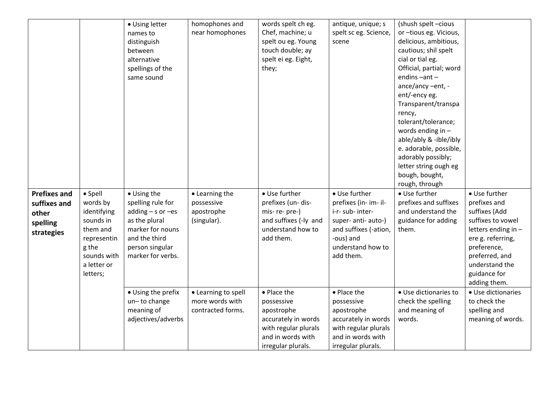|                     |             | • Using letter             | homophones and                         | words spelt ch eg.       | antique, unique; s       | (shush spelt -cious                  |                                    |
|---------------------|-------------|----------------------------|----------------------------------------|--------------------------|--------------------------|--------------------------------------|------------------------------------|
|                     |             | names to                   | near homophones                        | Chef, machine; u         | spelt sc eg. Science,    | or -tious eg. Vicious,               |                                    |
|                     |             | distinguish                |                                        | spelt ou eg. Young       | scene                    | delicious, ambitious,                |                                    |
|                     |             | between                    |                                        | touch double; ay         |                          | cautious; shil spelt                 |                                    |
|                     |             | alternative                |                                        | spelt ei eg. Eight,      |                          | cial or tial eg.                     |                                    |
|                     |             | spellings of the           |                                        | they;                    |                          | Official, partial; word              |                                    |
|                     |             | same sound                 |                                        |                          |                          | endins-ant-                          |                                    |
|                     |             |                            |                                        |                          |                          | ance/ancy -ent, -                    |                                    |
|                     |             |                            |                                        |                          |                          | ent/-ency eg.                        |                                    |
|                     |             |                            |                                        |                          |                          | Transparent/transpa                  |                                    |
|                     |             |                            |                                        |                          |                          | rency,                               |                                    |
|                     |             |                            |                                        |                          |                          | tolerant/tolerance;                  |                                    |
|                     |             |                            |                                        |                          |                          | words ending in $-$                  |                                    |
|                     |             |                            |                                        |                          |                          | able/ably & -ible/ibly               |                                    |
|                     |             |                            |                                        |                          |                          | e. adorable, possible,               |                                    |
|                     |             |                            |                                        |                          |                          | adorably possibly;                   |                                    |
|                     |             |                            |                                        |                          |                          | letter string ough eg                |                                    |
|                     |             |                            |                                        |                          |                          | bough, bought,                       |                                    |
|                     |             |                            |                                        |                          |                          | rough, through                       |                                    |
| <b>Prefixes and</b> | • Spell     | • Using the                | • Learning the                         | • Use further            | • Use further            | • Use further                        | • Use further                      |
| suffixes and        | words by    | spelling rule for          | possessive                             | prefixes (un- dis-       | prefixes (in- im- il-    | prefixes and suffixes                | prefixes and                       |
| other               | identifying | $adding - s$ or $-es$      | apostrophe                             | mis-re-pre-)             | i-r- sub- inter-         | and understand the                   | suffixes (Add                      |
| spelling            | sounds in   | as the plural              | (singular).                            | and suffixes (-ly and    | super- anti- auto-)      | guidance for adding                  | suffixes to vowel                  |
| strategies          | them and    | marker for nouns           |                                        | understand how to        | and suffixes (-ation,    | them.                                | letters ending in -                |
|                     | representin | and the third              |                                        | add them.                | -ous) and                |                                      | ere g. referring,                  |
|                     | g the       | person singular            |                                        |                          | understand how to        |                                      | preference,                        |
|                     | sounds with | marker for verbs.          |                                        |                          | add them.                |                                      | preferred, and                     |
|                     | a letter or |                            |                                        |                          |                          |                                      | understand the                     |
|                     | letters;    |                            |                                        |                          |                          |                                      | guidance for                       |
|                     |             | • Using the prefix         |                                        | • Place the              | • Place the              | · Use dictionaries to                | adding them.<br>• Use dictionaries |
|                     |             |                            | • Learning to spell<br>more words with |                          |                          |                                      | to check the                       |
|                     |             | un-to change<br>meaning of | contracted forms.                      | possessive<br>apostrophe | possessive<br>apostrophe | check the spelling<br>and meaning of | spelling and                       |
|                     |             | adjectives/adverbs         |                                        | accurately in words      | accurately in words      | words.                               | meaning of words.                  |
|                     |             |                            |                                        | with regular plurals     | with regular plurals     |                                      |                                    |
|                     |             |                            |                                        | and in words with        | and in words with        |                                      |                                    |
|                     |             |                            |                                        | irregular plurals.       | irregular plurals.       |                                      |                                    |
|                     |             |                            |                                        |                          |                          |                                      |                                    |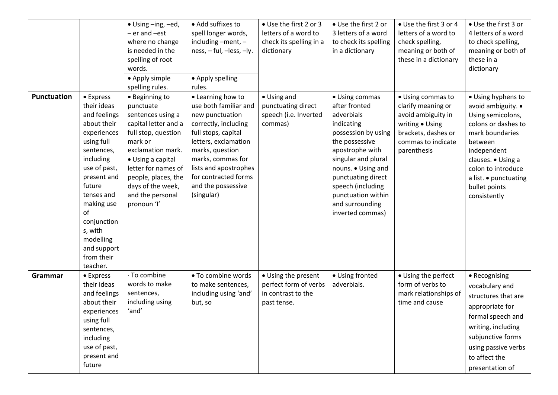|                    |                                                                                                                                                                                                                                                                            | • Using -ing, -ed,<br>- er and -est<br>where no change<br>is needed in the<br>spelling of root<br>words.<br>• Apply simple<br>spelling rules.                                                                                                              | • Add suffixes to<br>spell longer words,<br>including $-$ ment, $-$<br>ness, - ful, -less, -ly.<br>• Apply spelling<br>rules.                                                                                                                                     | • Use the first 2 or 3<br>letters of a word to<br>check its spelling in a<br>dictionary | • Use the first 2 or<br>3 letters of a word<br>to check its spelling<br>in a dictionary                                                                                                                                                                                      | • Use the first 3 or 4<br>letters of a word to<br>check spelling,<br>meaning or both of<br>these in a dictionary                             | • Use the first 3 or<br>4 letters of a word<br>to check spelling,<br>meaning or both of<br>these in a<br>dictionary                                                                                                                     |
|--------------------|----------------------------------------------------------------------------------------------------------------------------------------------------------------------------------------------------------------------------------------------------------------------------|------------------------------------------------------------------------------------------------------------------------------------------------------------------------------------------------------------------------------------------------------------|-------------------------------------------------------------------------------------------------------------------------------------------------------------------------------------------------------------------------------------------------------------------|-----------------------------------------------------------------------------------------|------------------------------------------------------------------------------------------------------------------------------------------------------------------------------------------------------------------------------------------------------------------------------|----------------------------------------------------------------------------------------------------------------------------------------------|-----------------------------------------------------------------------------------------------------------------------------------------------------------------------------------------------------------------------------------------|
| <b>Punctuation</b> | • Express<br>their ideas<br>and feelings<br>about their<br>experiences<br>using full<br>sentences,<br>including<br>use of past,<br>present and<br>future<br>tenses and<br>making use<br>of<br>conjunction<br>s, with<br>modelling<br>and support<br>from their<br>teacher. | • Beginning to<br>punctuate<br>sentences using a<br>capital letter and a<br>full stop, question<br>mark or<br>exclamation mark.<br>• Using a capital<br>letter for names of<br>people, places, the<br>days of the week,<br>and the personal<br>pronoun 'l' | • Learning how to<br>use both familiar and<br>new punctuation<br>correctly, including<br>full stops, capital<br>letters, exclamation<br>marks, question<br>marks, commas for<br>lists and apostrophes<br>for contracted forms<br>and the possessive<br>(singular) | • Using and<br>punctuating direct<br>speech (i.e. Inverted<br>commas)                   | • Using commas<br>after fronted<br>adverbials<br>indicating<br>possession by using<br>the possessive<br>apostrophe with<br>singular and plural<br>nouns. . Using and<br>punctuating direct<br>speech (including<br>punctuation within<br>and surrounding<br>inverted commas) | • Using commas to<br>clarify meaning or<br>avoid ambiguity in<br>writing . Using<br>brackets, dashes or<br>commas to indicate<br>parenthesis | • Using hyphens to<br>avoid ambiguity. •<br>Using semicolons,<br>colons or dashes to<br>mark boundaries<br>between<br>independent<br>clauses. . Using a<br>colon to introduce<br>a list. • punctuating<br>bullet points<br>consistently |
| Grammar            | • Express<br>their ideas<br>and feelings<br>about their<br>experiences<br>using full<br>sentences,<br>including<br>use of past,<br>present and<br>future                                                                                                                   | · To combine<br>words to make<br>sentences,<br>including using<br>'and'                                                                                                                                                                                    | • To combine words<br>to make sentences,<br>including using 'and'<br>but, so                                                                                                                                                                                      | • Using the present<br>perfect form of verbs<br>in contrast to the<br>past tense.       | · Using fronted<br>adverbials.                                                                                                                                                                                                                                               | • Using the perfect<br>form of verbs to<br>mark relationships of<br>time and cause                                                           | • Recognising<br>vocabulary and<br>structures that are<br>appropriate for<br>formal speech and<br>writing, including<br>subjunctive forms<br>using passive verbs<br>to affect the<br>presentation of                                    |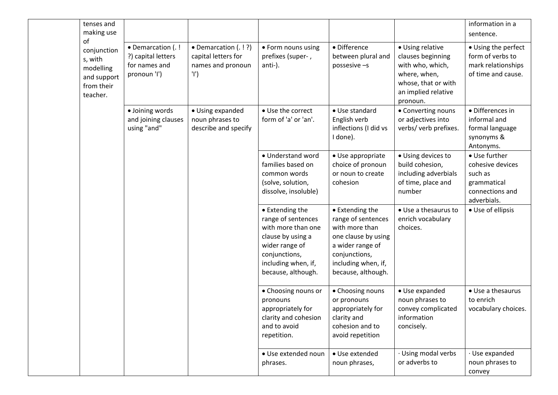| tenses and<br>making use                                                           |                                                                          |                                                                           |                                                                                                                                                                  |                                                                                                                                                                  |                                                                                                                                     | information in a<br>sentence.                                                                 |
|------------------------------------------------------------------------------------|--------------------------------------------------------------------------|---------------------------------------------------------------------------|------------------------------------------------------------------------------------------------------------------------------------------------------------------|------------------------------------------------------------------------------------------------------------------------------------------------------------------|-------------------------------------------------------------------------------------------------------------------------------------|-----------------------------------------------------------------------------------------------|
| of<br>conjunction<br>s, with<br>modelling<br>and support<br>from their<br>teacher. | • Demarcation (.!<br>?) capital letters<br>for names and<br>pronoun 'l') | • Demarcation (. ! ?)<br>capital letters for<br>names and pronoun<br>'l') | • Form nouns using<br>prefixes (super-,<br>anti-).                                                                                                               | • Difference<br>between plural and<br>possesive -s                                                                                                               | • Using relative<br>clauses beginning<br>with who, which,<br>where, when,<br>whose, that or with<br>an implied relative<br>pronoun. | • Using the perfect<br>form of verbs to<br>mark relationships<br>of time and cause.           |
|                                                                                    | · Joining words<br>and joining clauses<br>using "and"                    | • Using expanded<br>noun phrases to<br>describe and specify               | • Use the correct<br>form of 'a' or 'an'.                                                                                                                        | • Use standard<br>English verb<br>inflections (I did vs<br>I done).                                                                                              | • Converting nouns<br>or adjectives into<br>verbs/ verb prefixes.                                                                   | · Differences in<br>informal and<br>formal language<br>synonyms &<br>Antonyms.                |
|                                                                                    |                                                                          |                                                                           | • Understand word<br>families based on<br>common words<br>(solve, solution,<br>dissolve, insoluble)                                                              | • Use appropriate<br>choice of pronoun<br>or noun to create<br>cohesion                                                                                          | • Using devices to<br>build cohesion,<br>including adverbials<br>of time, place and<br>number                                       | • Use further<br>cohesive devices<br>such as<br>grammatical<br>connections and<br>adverbials. |
|                                                                                    |                                                                          |                                                                           | • Extending the<br>range of sentences<br>with more than one<br>clause by using a<br>wider range of<br>conjunctions,<br>including when, if,<br>because, although. | • Extending the<br>range of sentences<br>with more than<br>one clause by using<br>a wider range of<br>conjunctions,<br>including when, if,<br>because, although. | • Use a thesaurus to<br>enrich vocabulary<br>choices.                                                                               | • Use of ellipsis                                                                             |
|                                                                                    |                                                                          |                                                                           | • Choosing nouns or<br>pronouns<br>appropriately for<br>clarity and cohesion<br>and to avoid<br>repetition.                                                      | • Choosing nouns<br>or pronouns<br>appropriately for<br>clarity and<br>cohesion and to<br>avoid repetition                                                       | • Use expanded<br>noun phrases to<br>convey complicated<br>information<br>concisely.                                                | • Use a thesaurus<br>to enrich<br>vocabulary choices.                                         |
|                                                                                    |                                                                          |                                                                           | · Use extended noun<br>phrases.                                                                                                                                  | • Use extended<br>noun phrases,                                                                                                                                  | Using modal verbs<br>or adverbs to                                                                                                  | · Use expanded<br>noun phrases to<br>convey                                                   |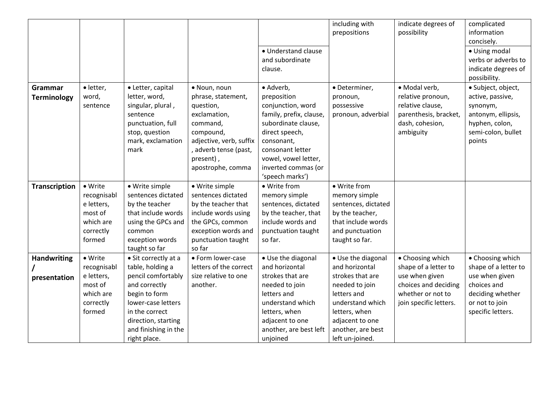|                      |             |                      |                         |                         | including with      | indicate degrees of    | complicated          |
|----------------------|-------------|----------------------|-------------------------|-------------------------|---------------------|------------------------|----------------------|
|                      |             |                      |                         |                         | prepositions        | possibility            | information          |
|                      |             |                      |                         |                         |                     |                        | concisely.           |
|                      |             |                      |                         | • Understand clause     |                     |                        | • Using modal        |
|                      |             |                      |                         | and subordinate         |                     |                        | verbs or adverbs to  |
|                      |             |                      |                         | clause.                 |                     |                        | indicate degrees of  |
|                      |             |                      |                         |                         |                     |                        | possibility.         |
| Grammar              | · letter,   | • Letter, capital    | · Noun, noun            | · Adverb,               | · Determiner,       | · Modal verb,          | · Subject, object,   |
| <b>Terminology</b>   | word,       | letter, word,        | phrase, statement,      | preposition             | pronoun,            | relative pronoun,      | active, passive,     |
|                      | sentence    | singular, plural,    | question,               | conjunction, word       | possessive          | relative clause,       | synonym,             |
|                      |             | sentence             | exclamation,            | family, prefix, clause, | pronoun, adverbial  | parenthesis, bracket,  | antonym, ellipsis,   |
|                      |             | punctuation, full    | command,                | subordinate clause,     |                     | dash, cohesion,        | hyphen, colon,       |
|                      |             | stop, question       | compound,               | direct speech,          |                     | ambiguity              | semi-colon, bullet   |
|                      |             | mark, exclamation    | adjective, verb, suffix | consonant,              |                     |                        | points               |
|                      |             | mark                 | adverb tense (past,     | consonant letter        |                     |                        |                      |
|                      |             |                      | present),               | vowel, vowel letter,    |                     |                        |                      |
|                      |             |                      | apostrophe, comma       | inverted commas (or     |                     |                        |                      |
|                      |             |                      |                         | 'speech marks')         |                     |                        |                      |
| <b>Transcription</b> | • Write     | • Write simple       | · Write simple          | • Write from            | • Write from        |                        |                      |
|                      | recognisabl | sentences dictated   | sentences dictated      | memory simple           | memory simple       |                        |                      |
|                      | e letters,  | by the teacher       | by the teacher that     | sentences, dictated     | sentences, dictated |                        |                      |
|                      | most of     | that include words   | include words using     | by the teacher, that    | by the teacher,     |                        |                      |
|                      | which are   | using the GPCs and   | the GPCs, common        | include words and       | that include words  |                        |                      |
|                      | correctly   | common               | exception words and     | punctuation taught      | and punctuation     |                        |                      |
|                      | formed      | exception words      | punctuation taught      | so far.                 | taught so far.      |                        |                      |
|                      |             | taught so far        | so far                  |                         |                     |                        |                      |
| <b>Handwriting</b>   | • Write     | • Sit correctly at a | • Form lower-case       | • Use the diagonal      | • Use the diagonal  | • Choosing which       | • Choosing which     |
|                      | recognisabl | table, holding a     | letters of the correct  | and horizontal          | and horizontal      | shape of a letter to   | shape of a letter to |
| presentation         | e letters,  | pencil comfortably   | size relative to one    | strokes that are        | strokes that are    | use when given         | use when given       |
|                      | most of     | and correctly        | another.                | needed to join          | needed to join      | choices and deciding   | choices and          |
|                      | which are   | begin to form        |                         | letters and             | letters and         | whether or not to      | deciding whether     |
|                      | correctly   | lower-case letters   |                         | understand which        | understand which    | join specific letters. | or not to join       |
|                      | formed      | in the correct       |                         | letters, when           | letters, when       |                        | specific letters.    |
|                      |             | direction, starting  |                         | adjacent to one         | adjacent to one     |                        |                      |
|                      |             | and finishing in the |                         | another, are best left  | another, are best   |                        |                      |
|                      |             | right place.         |                         | unjoined                | left un-joined.     |                        |                      |